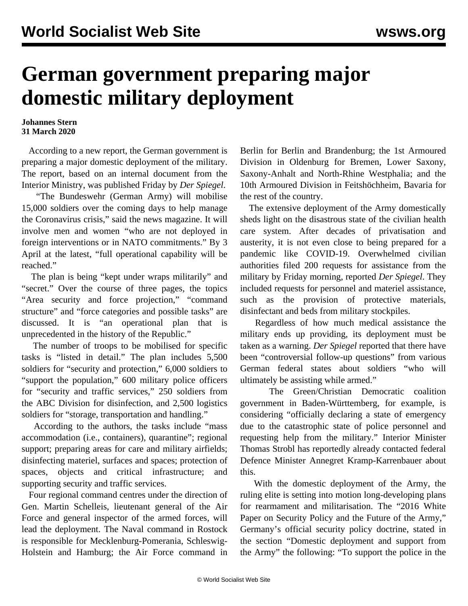## **German government preparing major domestic military deployment**

## **Johannes Stern 31 March 2020**

 According to a new report, the German government is preparing a major domestic deployment of the military. The report, based on an internal document from the Interior Ministry, was published Friday by *Der Spiegel*.

 "The Bundeswehr (German Army) will mobilise 15,000 soldiers over the coming days to help manage the Coronavirus crisis," said the news magazine. It will involve men and women "who are not deployed in foreign interventions or in NATO commitments." By 3 April at the latest, "full operational capability will be reached."

 The plan is being "kept under wraps militarily" and "secret." Over the course of three pages, the topics "Area security and force projection," "command structure" and "force categories and possible tasks" are discussed. It is "an operational plan that is unprecedented in the history of the Republic."

 The number of troops to be mobilised for specific tasks is "listed in detail." The plan includes 5,500 soldiers for "security and protection," 6,000 soldiers to "support the population," 600 military police officers for "security and traffic services," 250 soldiers from the ABC Division for disinfection, and 2,500 logistics soldiers for "storage, transportation and handling."

 According to the authors, the tasks include "mass accommodation (i.e., containers), quarantine"; regional support; preparing areas for care and military airfields; disinfecting materiel, surfaces and spaces; protection of spaces, objects and critical infrastructure; and supporting security and traffic services.

 Four regional command centres under the direction of Gen. Martin Schelleis, lieutenant general of the Air Force and general inspector of the armed forces, will lead the deployment. The Naval command in Rostock is responsible for Mecklenburg-Pomerania, Schleswig-Holstein and Hamburg; the Air Force command in Berlin for Berlin and Brandenburg; the 1st Armoured Division in Oldenburg for Bremen, Lower Saxony, Saxony-Anhalt and North-Rhine Westphalia; and the 10th Armoured Division in Feitshöchheim, Bavaria for the rest of the country.

 The extensive deployment of the Army domestically sheds light on the disastrous state of the civilian health care system. After decades of privatisation and austerity, it is not even close to being prepared for a pandemic like COVID-19. Overwhelmed civilian authorities filed 200 requests for assistance from the military by Friday morning, reported *Der Spiegel*. They included requests for personnel and materiel assistance, such as the provision of protective materials, disinfectant and beds from military stockpiles.

 Regardless of how much medical assistance the military ends up providing, its deployment must be taken as a warning. *Der Spiegel* reported that there have been "controversial follow-up questions" from various German federal states about soldiers "who will ultimately be assisting while armed."

 The Green/Christian Democratic coalition government in Baden-Württemberg, for example, is considering "officially declaring a state of emergency due to the catastrophic state of police personnel and requesting help from the military." Interior Minister Thomas Strobl has reportedly already contacted federal Defence Minister Annegret Kramp-Karrenbauer about this.

 With the domestic deployment of the Army, the ruling elite is setting into motion long-developing plans for rearmament and militarisation. The ["2016 White](/en/articles/2016/07/15/bund-j15.html) [Paper on Security Policy and the Future of the Army,](/en/articles/2016/07/15/bund-j15.html)" Germany's official security policy doctrine, stated in the section "Domestic deployment and support from the Army" the following: "To support the police in the